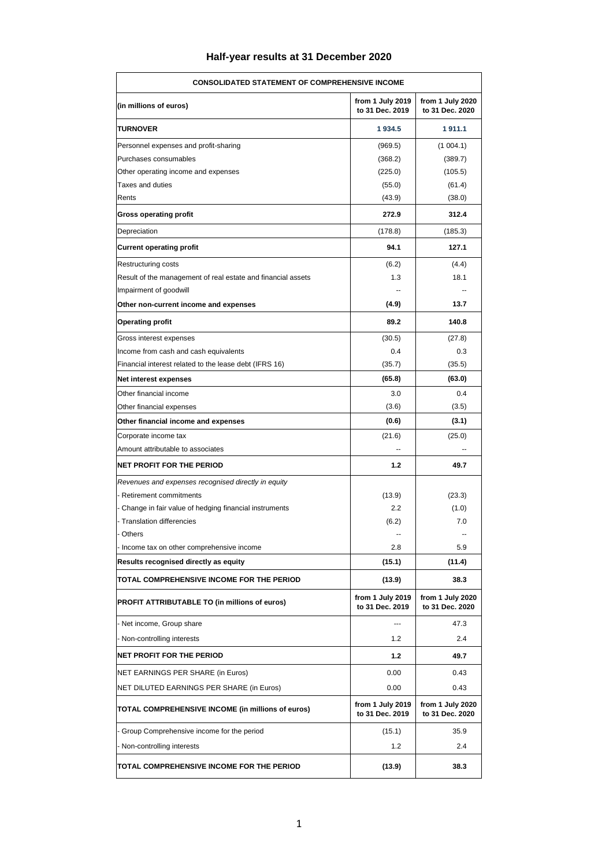|  |  |  | Half-year results at 31 December 2020 |  |
|--|--|--|---------------------------------------|--|
|--|--|--|---------------------------------------|--|

| <b>CONSOLIDATED STATEMENT OF COMPREHENSIVE INCOME</b>        |                                     |                                     |  |  |  |  |
|--------------------------------------------------------------|-------------------------------------|-------------------------------------|--|--|--|--|
| (in millions of euros)                                       | from 1 July 2019<br>to 31 Dec. 2019 | from 1 July 2020<br>to 31 Dec. 2020 |  |  |  |  |
| TURNOVER                                                     | 1934.5                              | 1911.1                              |  |  |  |  |
| Personnel expenses and profit-sharing                        | (969.5)                             | (1004.1)                            |  |  |  |  |
| Purchases consumables                                        | (368.2)                             | (389.7)                             |  |  |  |  |
| Other operating income and expenses                          | (225.0)                             | (105.5)                             |  |  |  |  |
| Taxes and duties                                             | (55.0)                              | (61.4)                              |  |  |  |  |
| Rents                                                        | (43.9)                              | (38.0)                              |  |  |  |  |
| <b>Gross operating profit</b>                                | 272.9                               | 312.4                               |  |  |  |  |
| Depreciation                                                 | (178.8)                             | (185.3)                             |  |  |  |  |
| <b>Current operating profit</b>                              | 94.1                                | 127.1                               |  |  |  |  |
| Restructuring costs                                          | (6.2)                               | (4.4)                               |  |  |  |  |
| Result of the management of real estate and financial assets | 1.3                                 | 18.1                                |  |  |  |  |
| Impairment of goodwill                                       |                                     |                                     |  |  |  |  |
| Other non-current income and expenses                        | (4.9)                               | 13.7                                |  |  |  |  |
| <b>Operating profit</b>                                      | 89.2                                | 140.8                               |  |  |  |  |
| Gross interest expenses                                      | (30.5)                              | (27.8)                              |  |  |  |  |
| Income from cash and cash equivalents                        | 0.4                                 | 0.3                                 |  |  |  |  |
| Financial interest related to the lease debt (IFRS 16)       | (35.7)                              | (35.5)                              |  |  |  |  |
| Net interest expenses                                        | (65.8)                              | (63.0)                              |  |  |  |  |
| Other financial income                                       | 3.0                                 | 0.4                                 |  |  |  |  |
| Other financial expenses                                     | (3.6)                               | (3.5)                               |  |  |  |  |
| Other financial income and expenses                          | (0.6)                               | (3.1)                               |  |  |  |  |
| Corporate income tax                                         | (21.6)                              | (25.0)                              |  |  |  |  |
| Amount attributable to associates                            |                                     |                                     |  |  |  |  |
| <b>NET PROFIT FOR THE PERIOD</b>                             | 1.2                                 | 49.7                                |  |  |  |  |
| Revenues and expenses recognised directly in equity          |                                     |                                     |  |  |  |  |
| Retirement commitments                                       | (13.9)                              | (23.3)                              |  |  |  |  |
| Change in fair value of hedging financial instruments        | 2.2                                 | (1.0)                               |  |  |  |  |
| <b>Translation differencies</b>                              | (6.2)                               | 7.0                                 |  |  |  |  |
| Others                                                       | $\overline{\phantom{a}}$            | --                                  |  |  |  |  |
| Income tax on other comprehensive income                     | 2.8                                 | 5.9                                 |  |  |  |  |
| Results recognised directly as equity                        | (15.1)                              | (11.4)                              |  |  |  |  |
| TOTAL COMPREHENSIVE INCOME FOR THE PERIOD                    | (13.9)                              | 38.3                                |  |  |  |  |
| PROFIT ATTRIBUTABLE TO (in millions of euros)                | from 1 July 2019<br>to 31 Dec. 2019 | from 1 July 2020<br>to 31 Dec. 2020 |  |  |  |  |
| - Net income, Group share                                    | ---                                 | 47.3                                |  |  |  |  |
| Non-controlling interests                                    | 1.2                                 | 2.4                                 |  |  |  |  |
| <b>NET PROFIT FOR THE PERIOD</b>                             | 1.2                                 | 49.7                                |  |  |  |  |
| NET EARNINGS PER SHARE (in Euros)                            | 0.00                                | 0.43                                |  |  |  |  |
| NET DILUTED EARNINGS PER SHARE (in Euros)                    | 0.00                                | 0.43                                |  |  |  |  |
| TOTAL COMPREHENSIVE INCOME (in millions of euros)            | from 1 July 2019<br>to 31 Dec. 2019 | from 1 July 2020<br>to 31 Dec. 2020 |  |  |  |  |
| Group Comprehensive income for the period                    | (15.1)                              | 35.9                                |  |  |  |  |
| Non-controlling interests                                    | 1.2                                 | 2.4                                 |  |  |  |  |
| TOTAL COMPREHENSIVE INCOME FOR THE PERIOD                    | (13.9)                              | 38.3                                |  |  |  |  |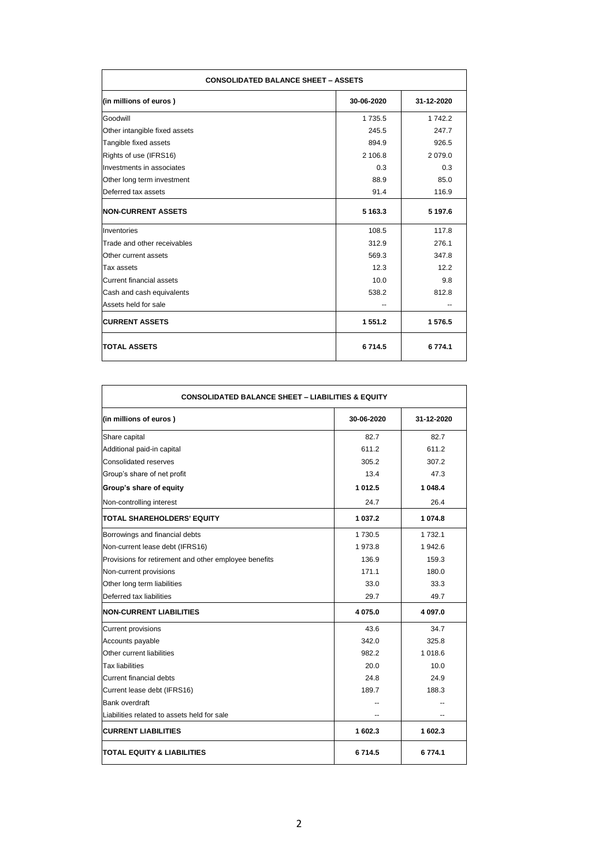| <b>CONSOLIDATED BALANCE SHEET - ASSETS</b> |            |             |  |  |  |
|--------------------------------------------|------------|-------------|--|--|--|
| (in millions of euros)                     | 30-06-2020 | 31-12-2020  |  |  |  |
| Goodwill                                   | 1735.5     | 1 742.2     |  |  |  |
| Other intangible fixed assets              | 245.5      | 247.7       |  |  |  |
| Tangible fixed assets                      | 894.9      | 926.5       |  |  |  |
| Rights of use (IFRS16)                     | 2 106.8    | 2 0 7 9 . 0 |  |  |  |
| Investments in associates                  | 0.3        | 0.3         |  |  |  |
| Other long term investment                 | 88.9       | 85.0        |  |  |  |
| Deferred tax assets                        | 91.4       | 116.9       |  |  |  |
| <b>NON-CURRENT ASSETS</b>                  | 5 163.3    | 5 197.6     |  |  |  |
| Inventories                                | 108.5      | 117.8       |  |  |  |
| Trade and other receivables                | 312.9      | 276.1       |  |  |  |
| Other current assets                       | 569.3      | 347.8       |  |  |  |
| Tax assets                                 | 12.3       | 122         |  |  |  |
| Current financial assets                   | 10.0       | 9.8         |  |  |  |
| Cash and cash equivalents                  | 538.2      | 812.8       |  |  |  |
| Assets held for sale                       |            |             |  |  |  |
| <b>CURRENT ASSETS</b>                      | 1 551.2    | 1 576.5     |  |  |  |
| <b>TOTAL ASSETS</b>                        | 6714.5     | 6774.1      |  |  |  |

| <b>CONSOLIDATED BALANCE SHEET - LIABILITIES &amp; EQUITY</b> |            |            |  |  |  |
|--------------------------------------------------------------|------------|------------|--|--|--|
| (in millions of euros)                                       | 30-06-2020 | 31-12-2020 |  |  |  |
| Share capital                                                | 82.7       | 82.7       |  |  |  |
| Additional paid-in capital                                   | 611.2      | 611.2      |  |  |  |
| Consolidated reserves                                        | 305.2      | 307.2      |  |  |  |
| Group's share of net profit                                  | 13.4       | 47.3       |  |  |  |
| Group's share of equity                                      | 1012.5     | 1 048.4    |  |  |  |
| Non-controlling interest                                     | 247        | 26.4       |  |  |  |
| <b>TOTAL SHAREHOLDERS' EQUITY</b>                            | 1 037.2    | 1 074.8    |  |  |  |
| Borrowings and financial debts                               | 1730.5     | 1 7 3 2.1  |  |  |  |
| Non-current lease debt (IFRS16)                              | 1973.8     | 1942.6     |  |  |  |
| Provisions for retirement and other employee benefits        | 136.9      | 159.3      |  |  |  |
| Non-current provisions                                       | 171 1      | 180.0      |  |  |  |
| Other long term liabilities                                  | 33.0       | 33.3       |  |  |  |
| Deferred tax liabilities                                     | 29.7       | 49.7       |  |  |  |
| <b>NON-CURRENT LIABILITIES</b>                               | 4 0 7 5 .0 | 4 097.0    |  |  |  |
| <b>Current provisions</b>                                    | 43.6       | 34.7       |  |  |  |
| Accounts payable                                             | 342.0      | 325.8      |  |  |  |
| Other current liabilities                                    | 982.2      | 1 018.6    |  |  |  |
| <b>Tax liabilities</b>                                       | 20.0       | 10.0       |  |  |  |
| Current financial debts                                      | 24.8       | 24.9       |  |  |  |
| Current lease debt (IFRS16)                                  | 189.7      | 188.3      |  |  |  |
| Bank overdraft                                               |            |            |  |  |  |
| Liabilities related to assets held for sale                  |            |            |  |  |  |
| <b>CURRENT LIABILITIES</b>                                   | 1 602.3    | 1 602.3    |  |  |  |
| <b>TOTAL EQUITY &amp; LIABILITIES</b>                        | 6714.5     | 6774.1     |  |  |  |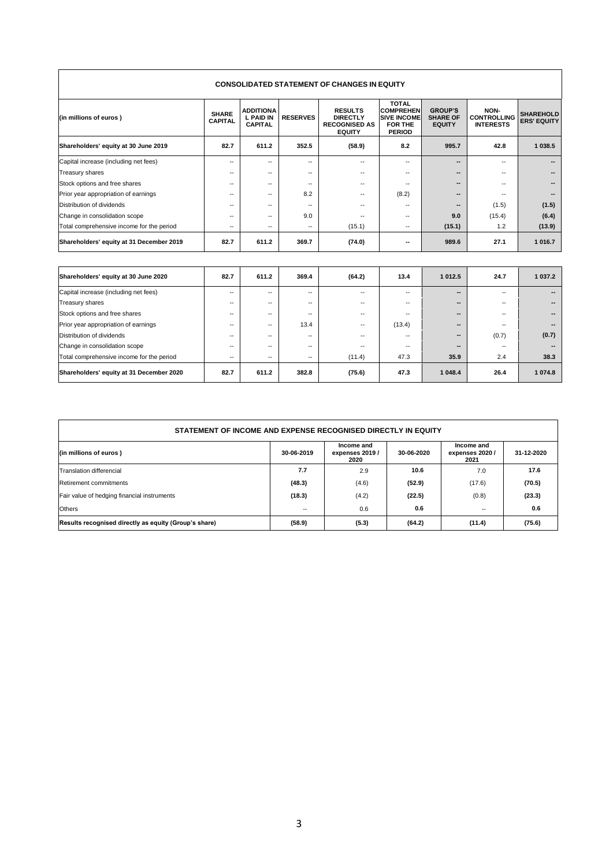| <b>CONSOLIDATED STATEMENT OF CHANGES IN EQUITY</b> |                                |                                                        |                          |                                                                            |                                                                                           |                                                    |                                                |                                        |  |
|----------------------------------------------------|--------------------------------|--------------------------------------------------------|--------------------------|----------------------------------------------------------------------------|-------------------------------------------------------------------------------------------|----------------------------------------------------|------------------------------------------------|----------------------------------------|--|
| (in millions of euros)                             | <b>SHARE</b><br><b>CAPITAL</b> | <b>ADDITIONA</b><br><b>L PAID IN</b><br><b>CAPITAL</b> | <b>RESERVES</b>          | <b>RESULTS</b><br><b>DIRECTLY</b><br><b>RECOGNISED AS</b><br><b>EQUITY</b> | <b>TOTAL</b><br><b>COMPREHEN</b><br><b>SIVE INCOME</b><br><b>FOR THE</b><br><b>PERIOD</b> | <b>GROUP'S</b><br><b>SHARE OF</b><br><b>EQUITY</b> | NON-<br><b>CONTROLLING</b><br><b>INTERESTS</b> | <b>SHAREHOLD</b><br><b>ERS' EQUITY</b> |  |
| Shareholders' equity at 30 June 2019               | 82.7                           | 611.2                                                  | 352.5                    | (58.9)                                                                     | 8.2                                                                                       | 995.7                                              | 42.8                                           | 1 038.5                                |  |
| Capital increase (including net fees)              | $- -$                          | $- -$                                                  | --                       | --                                                                         | $- -$                                                                                     | --                                                 | $\overline{\phantom{a}}$                       | --                                     |  |
| <b>Treasury shares</b>                             | $- -$                          | $\overline{\phantom{a}}$                               | --                       | $- -$                                                                      | --                                                                                        | --                                                 | $- -$                                          | --                                     |  |
| Stock options and free shares                      | $- -$                          | $\overline{\phantom{a}}$                               | $-$                      | $- -$                                                                      | --                                                                                        | --                                                 | $\overline{\phantom{a}}$                       | --                                     |  |
| Prior year appropriation of earnings               | $- -$                          | $- -$                                                  | 8.2                      | $- -$                                                                      | (8.2)                                                                                     | --                                                 | --                                             | $-$                                    |  |
| Distribution of dividends                          | $- -$                          | $- -$                                                  | --                       | --                                                                         | --                                                                                        | --                                                 | (1.5)                                          | (1.5)                                  |  |
| Change in consolidation scope                      | $- -$                          | $- -$                                                  | 9.0                      | $-$                                                                        | --                                                                                        | 9.0                                                | (15.4)                                         | (6.4)                                  |  |
| Total comprehensive income for the period          | --                             | $\overline{\phantom{a}}$                               | $\overline{\phantom{a}}$ | (15.1)                                                                     | $\overline{\phantom{m}}$                                                                  | (15.1)                                             | 1.2                                            | (13.9)                                 |  |
| Shareholders' equity at 31 December 2019           | 82.7                           | 611.2                                                  | 369.7                    | (74.0)                                                                     | --                                                                                        | 989.6                                              | 27.1                                           | 1 016.7                                |  |

| Shareholders' equity at 30 June 2020      | 82.7  | 611.2                    | 369.4 | (64.2) | 13.4                     | 1 0 1 2.5              | 24.7  | 1 037.2 |
|-------------------------------------------|-------|--------------------------|-------|--------|--------------------------|------------------------|-------|---------|
| Capital increase (including net fees)     | $- -$ | $-$                      | --    | $- -$  | $\overline{\phantom{a}}$ | $\qquad \qquad \cdots$ | $- -$ | --      |
| Treasury shares                           | --    | --                       | --    | $- -$  | --                       | $\qquad \qquad \cdots$ | --    | $-$     |
| Stock options and free shares             | --    | --                       | --    | $- -$  | --                       | $\qquad \qquad \cdots$ | --    | $-$     |
| Prior year appropriation of earnings      | --    | --                       | 13.4  | $- -$  | (13.4)                   | $\qquad \qquad \cdots$ | --    | $-$     |
| Distribution of dividends                 | --    | --                       | --    | $- -$  | $- -$                    | $\qquad \qquad \cdots$ | (0.7) | (0.7)   |
| Change in consolidation scope             |       | --                       | --    | $- -$  |                          | $\qquad \qquad \cdots$ | --    | $-$     |
| Total comprehensive income for the period | --    | $\overline{\phantom{a}}$ | $- -$ | (11.4) | 47.3                     | 35.9                   | 2.4   | 38.3    |
| Shareholders' equity at 31 December 2020  | 82.7  | 611.2                    | 382.8 | (75.6) | 47.3                     | 1 048.4                | 26.4  | 1 074.8 |

| STATEMENT OF INCOME AND EXPENSE RECOGNISED DIRECTLY IN EQUITY |            |                                       |            |                                       |            |  |  |  |
|---------------------------------------------------------------|------------|---------------------------------------|------------|---------------------------------------|------------|--|--|--|
| (in millions of euros)                                        | 30-06-2019 | Income and<br>expenses 2019 /<br>2020 | 30-06-2020 | Income and<br>expenses 2020 /<br>2021 | 31-12-2020 |  |  |  |
| Translation differencial                                      | 7.7        | 2.9                                   | 10.6       | 7.0                                   | 17.6       |  |  |  |
| Retirement commitments                                        | (48.3)     | (4.6)                                 | (52.9)     | (17.6)                                | (70.5)     |  |  |  |
| Fair value of hedging financial instruments                   | (18.3)     | (4.2)                                 | (22.5)     | (0.8)                                 | (23.3)     |  |  |  |
| <b>Others</b>                                                 | --         | 0.6                                   | 0.6        | --                                    | 0.6        |  |  |  |
| Results recognised directly as equity (Group's share)         | (58.9)     | (5.3)                                 | (64.2)     | (11.4)                                | (75.6)     |  |  |  |